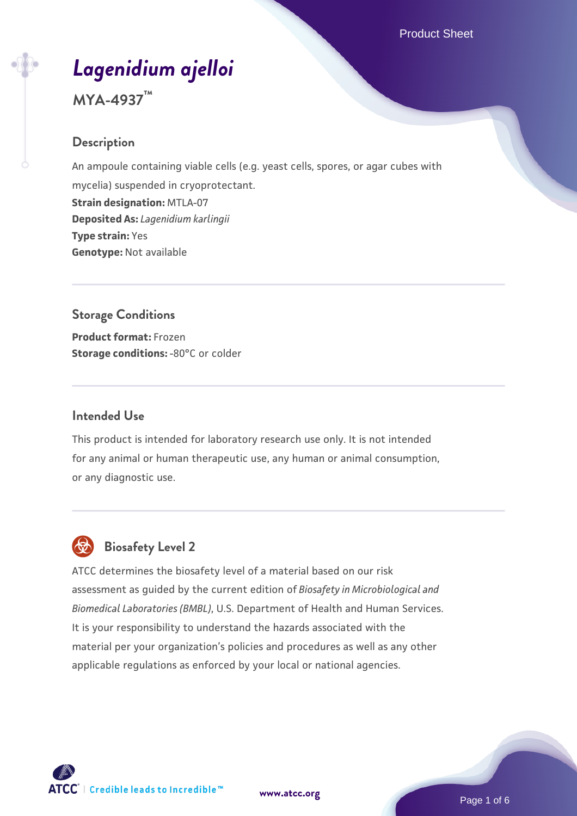# *[Lagenidium ajelloi](https://www.atcc.org/products/mya-4937)*

**MYA-4937™**

### **Description**

An ampoule containing viable cells (e.g. yeast cells, spores, or agar cubes with mycelia) suspended in cryoprotectant. **Strain designation:** MTLA-07 **Deposited As:** *Lagenidium karlingii* **Type strain:** Yes **Genotype:** Not available

# **Storage Conditions Product format:** Frozen **Storage conditions: -80°C or colder**

#### **Intended Use**

This product is intended for laboratory research use only. It is not intended for any animal or human therapeutic use, any human or animal consumption, or any diagnostic use.



# **Biosafety Level 2**

ATCC determines the biosafety level of a material based on our risk assessment as guided by the current edition of *Biosafety in Microbiological and Biomedical Laboratories (BMBL)*, U.S. Department of Health and Human Services. It is your responsibility to understand the hazards associated with the material per your organization's policies and procedures as well as any other applicable regulations as enforced by your local or national agencies.

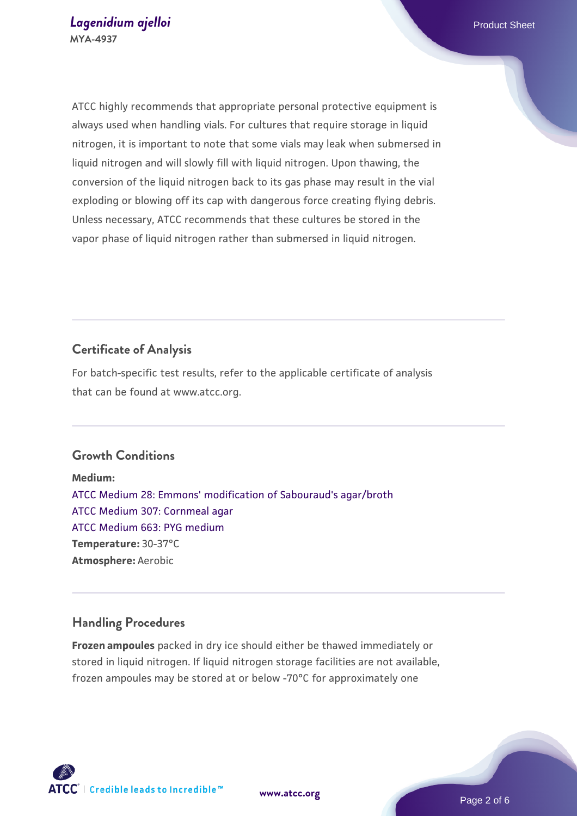ATCC highly recommends that appropriate personal protective equipment is always used when handling vials. For cultures that require storage in liquid nitrogen, it is important to note that some vials may leak when submersed in liquid nitrogen and will slowly fill with liquid nitrogen. Upon thawing, the conversion of the liquid nitrogen back to its gas phase may result in the vial exploding or blowing off its cap with dangerous force creating flying debris. Unless necessary, ATCC recommends that these cultures be stored in the vapor phase of liquid nitrogen rather than submersed in liquid nitrogen.

# **Certificate of Analysis**

For batch-specific test results, refer to the applicable certificate of analysis that can be found at www.atcc.org.

#### **Growth Conditions**

**Medium:**  [ATCC Medium 28: Emmons' modification of Sabouraud's agar/broth](https://www.atcc.org/-/media/product-assets/documents/microbial-media-formulations/2/8/atcc-medium-28.pdf?rev=0da0c58cc2a343eeae735016b70809bb) [ATCC Medium 307: Cornmeal agar](https://www.atcc.org/-/media/product-assets/documents/microbial-media-formulations/3/0/7/atcc-medium-307.pdf?rev=5cd8aaa5fcde44f5873396cc2a06f590) [ATCC Medium 663: PYG medium](https://www.atcc.org/-/media/product-assets/documents/microbial-media-formulations/6/6/3/atcc-medium-663.pdf?rev=39d2fb8d4f224afdb850fb1c1ce4c471) **Temperature:** 30-37°C **Atmosphere:** Aerobic

#### **Handling Procedures**

**Frozen ampoules** packed in dry ice should either be thawed immediately or stored in liquid nitrogen. If liquid nitrogen storage facilities are not available, frozen ampoules may be stored at or below -70°C for approximately one

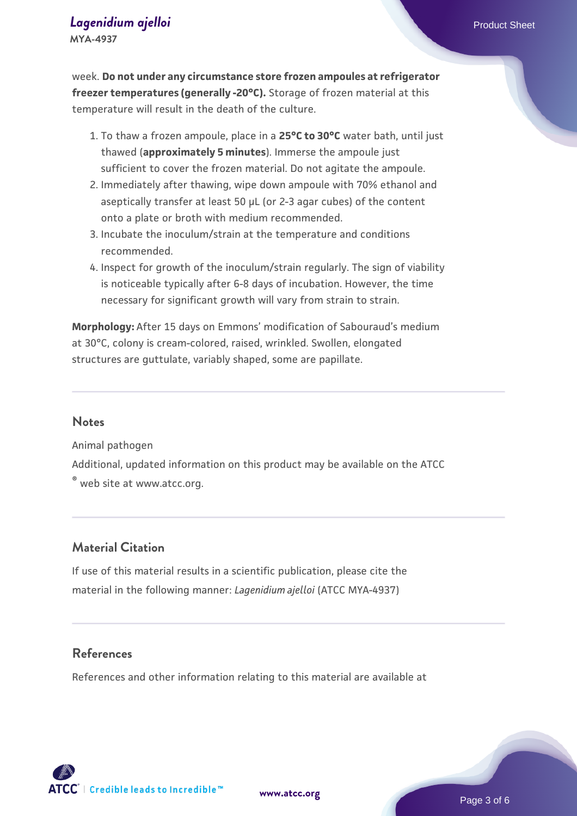# **[Lagenidium ajelloi](https://www.atcc.org/products/mya-4937)** Product Sheet

**MYA-4937**

week. **Do not under any circumstance store frozen ampoules at refrigerator freezer temperatures (generally -20°C).** Storage of frozen material at this temperature will result in the death of the culture.

- 1. To thaw a frozen ampoule, place in a **25°C to 30°C** water bath, until just thawed (**approximately 5 minutes**). Immerse the ampoule just sufficient to cover the frozen material. Do not agitate the ampoule.
- 2. Immediately after thawing, wipe down ampoule with 70% ethanol and aseptically transfer at least 50 µL (or 2-3 agar cubes) of the content onto a plate or broth with medium recommended.
- Incubate the inoculum/strain at the temperature and conditions 3. recommended.
- 4. Inspect for growth of the inoculum/strain regularly. The sign of viability is noticeable typically after 6-8 days of incubation. However, the time necessary for significant growth will vary from strain to strain.

**Morphology:** After 15 days on Emmons' modification of Sabouraud's medium at 30°C, colony is cream-colored, raised, wrinkled. Swollen, elongated structures are guttulate, variably shaped, some are papillate.

#### **Notes**

Animal pathogen Additional, updated information on this product may be available on the ATCC ® web site at www.atcc.org.

#### **Material Citation**

If use of this material results in a scientific publication, please cite the material in the following manner: *Lagenidium ajelloi* (ATCC MYA-4937)

#### **References**

References and other information relating to this material are available at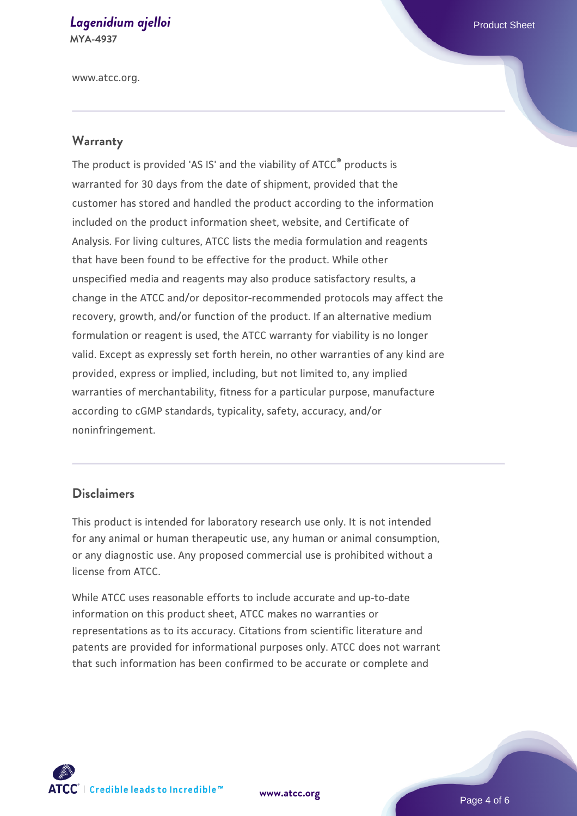# **[Lagenidium ajelloi](https://www.atcc.org/products/mya-4937)** Product Sheet

**MYA-4937**

www.atcc.org.

# **Warranty**

The product is provided 'AS IS' and the viability of ATCC® products is warranted for 30 days from the date of shipment, provided that the customer has stored and handled the product according to the information included on the product information sheet, website, and Certificate of Analysis. For living cultures, ATCC lists the media formulation and reagents that have been found to be effective for the product. While other unspecified media and reagents may also produce satisfactory results, a change in the ATCC and/or depositor-recommended protocols may affect the recovery, growth, and/or function of the product. If an alternative medium formulation or reagent is used, the ATCC warranty for viability is no longer valid. Except as expressly set forth herein, no other warranties of any kind are provided, express or implied, including, but not limited to, any implied warranties of merchantability, fitness for a particular purpose, manufacture according to cGMP standards, typicality, safety, accuracy, and/or noninfringement.

#### **Disclaimers**

This product is intended for laboratory research use only. It is not intended for any animal or human therapeutic use, any human or animal consumption, or any diagnostic use. Any proposed commercial use is prohibited without a license from ATCC.

While ATCC uses reasonable efforts to include accurate and up-to-date information on this product sheet, ATCC makes no warranties or representations as to its accuracy. Citations from scientific literature and patents are provided for informational purposes only. ATCC does not warrant that such information has been confirmed to be accurate or complete and



**[www.atcc.org](http://www.atcc.org)**

Page 4 of 6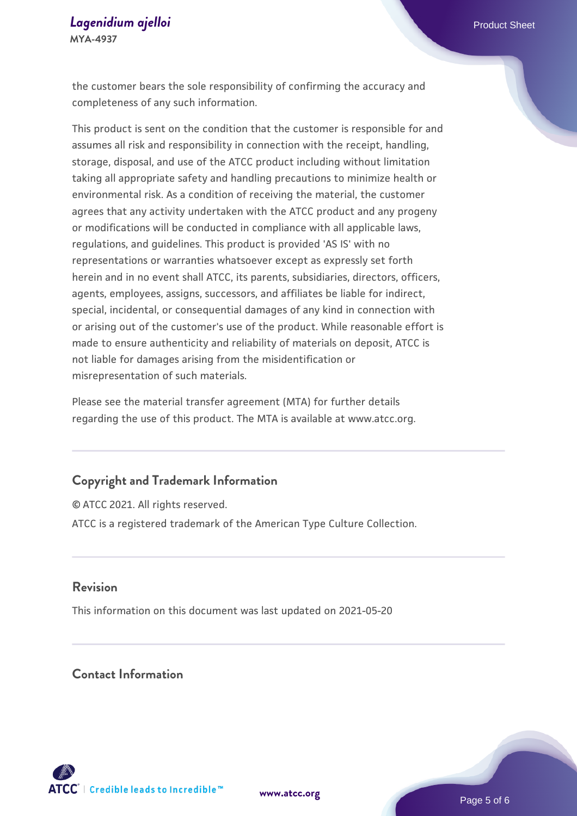the customer bears the sole responsibility of confirming the accuracy and completeness of any such information.

This product is sent on the condition that the customer is responsible for and assumes all risk and responsibility in connection with the receipt, handling, storage, disposal, and use of the ATCC product including without limitation taking all appropriate safety and handling precautions to minimize health or environmental risk. As a condition of receiving the material, the customer agrees that any activity undertaken with the ATCC product and any progeny or modifications will be conducted in compliance with all applicable laws, regulations, and guidelines. This product is provided 'AS IS' with no representations or warranties whatsoever except as expressly set forth herein and in no event shall ATCC, its parents, subsidiaries, directors, officers, agents, employees, assigns, successors, and affiliates be liable for indirect, special, incidental, or consequential damages of any kind in connection with or arising out of the customer's use of the product. While reasonable effort is made to ensure authenticity and reliability of materials on deposit, ATCC is not liable for damages arising from the misidentification or misrepresentation of such materials.

Please see the material transfer agreement (MTA) for further details regarding the use of this product. The MTA is available at www.atcc.org.

#### **Copyright and Trademark Information**

© ATCC 2021. All rights reserved. ATCC is a registered trademark of the American Type Culture Collection.

#### **Revision**

This information on this document was last updated on 2021-05-20

#### **Contact Information**



**[www.atcc.org](http://www.atcc.org)**